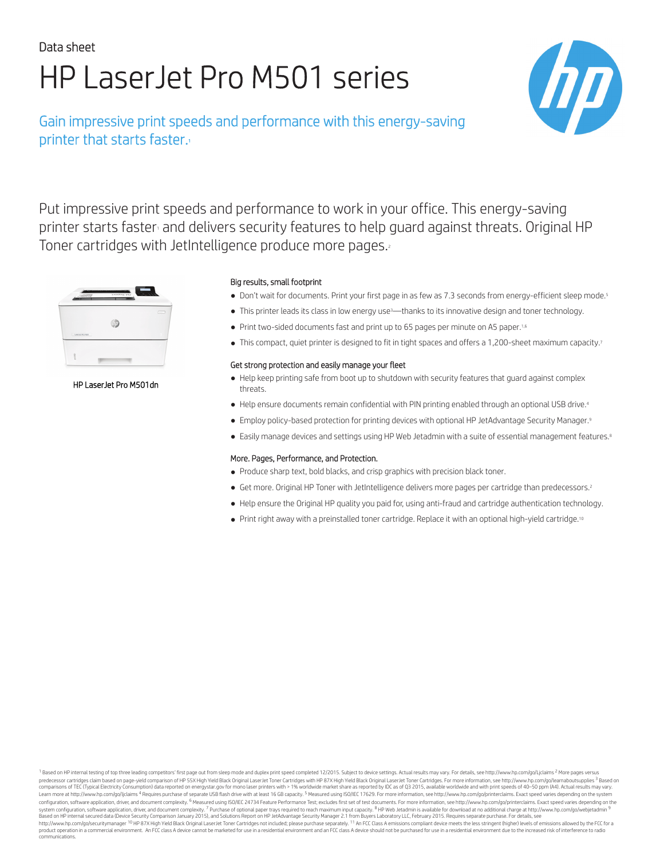# Data sheet HP LaserJet Pro M501 series

## Gain impressive print speeds and performance with this energy-saving printer that starts faster.<sup>1</sup>



Put impressive print speeds and performance to work in your office. This energy-saving printer starts faster and delivers security features to help guard against threats. Original HP Toner cartridges with JetIntelligence produce more pages.



HP LaserJet Pro M501dn

#### Big results, small footprint

- Don't wait for documents. Print your first page in as few as 7.3 seconds from energy-efficient sleep mode.<sup>5</sup>
- This printer leads its class in low energy use<sup>3</sup>—thanks to its innovative design and toner technology.
- Print two-sided documents fast and print up to 65 pages per minute on A5 paper.1,6
- This compact, quiet printer is designed to fit in tight spaces and offers a 1,200-sheet maximum capacity.<sup>7</sup>

#### Get strong protection and easily manage your fleet

- Help keep printing safe from boot up to shutdown with security features that guard against complex threats.
- Help ensure documents remain confidential with PIN printing enabled through an optional USB drive.<sup>4</sup>
- Employ policy-based protection for printing devices with optional HP JetAdvantage Security Manager.<sup>9</sup>
- Easily manage devices and settings using HP Web Jetadmin with a suite of essential management features.<sup>8</sup>

#### More. Pages, Performance, and Protection.

- Produce sharp text, bold blacks, and crisp graphics with precision black toner.
- Get more. Original HP Toner with JetIntelligence delivers more pages per cartridge than predecessors.<sup>2</sup>
- Help ensure the Original HP quality you paid for, using anti-fraud and cartridge authentication technology.
- Print right away with a preinstalled toner cartridge. Replace it with an optional high-yield cartridge.<sup>10</sup>

1 Based on HP internal testing of top three leading competitors' first page out from sleep mode and duplex print speed completed 12/2015. Subject to device settings. Actual results may vary. For details, see http://www.hp. predecessor cartridges claim based on page-yield comparison of HP 5[5X High Yield Bla](http://energystar.gov)ck Original Laser/et Toner Cartridges with HP 87X High Yield Black Original Laser/et Toner Cartridges. For more information, see http://ww configuration, software application, driver, and document complexity. <sup>6</sup> Measured using ISO/IEC 24734 Feature Performance Test; excludes first set of test documents. For more information, see http://www.hp.com/go/printerc system configuration, software application, driver, and document complexity. <sup>7</sup> Purchase of optional paper trays required to reach maximum input capacity. <sup>8</sup> HP Web Jetadmin is available for download at no additional cha communications.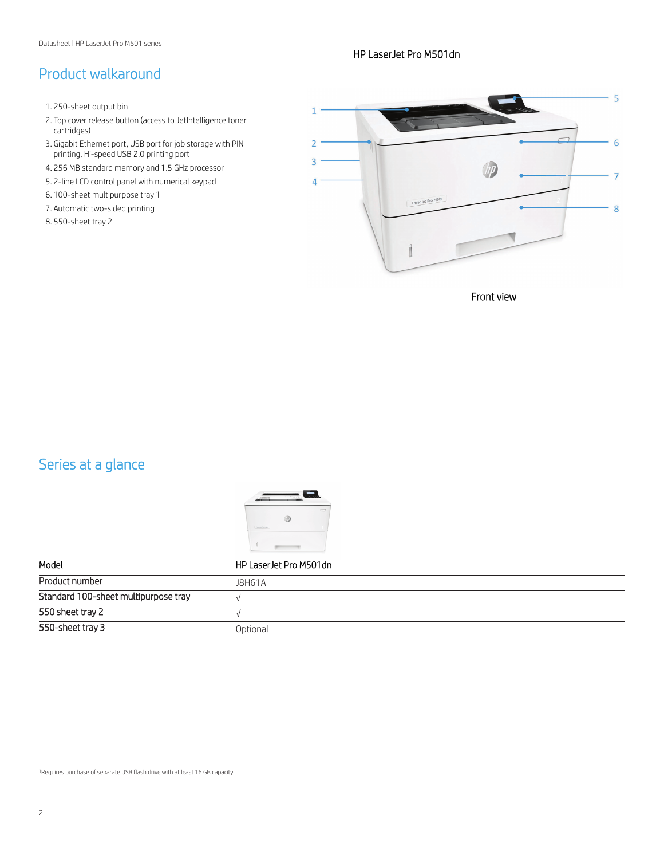# Product walkaround

- 1. 250-sheet output bin
- 2. Top cover release button (access to JetIntelligence toner cartridges)
- 3. Gigabit Ethernet port, USB port for job storage with PIN printing, Hi-speed USB 2.0 printing port
- 4. 256 MB standard memory and 1.5 GHz processor
- 5. 2-line LCD control panel with numerical keypad
- 6. 100-sheet multipurpose tray 1
- 7. Automatic two-sided printing
- 8. 550-sheet tray 2

#### HP LaserJet Pro M501dn



Front view

# Series at a glance



| Model                                | HP Laser Jet Pro M501dn |
|--------------------------------------|-------------------------|
| Product number                       | <b>J8H61A</b>           |
| Standard 100-sheet multipurpose tray |                         |
| 550 sheet tray 2                     |                         |
| 550-sheet tray 3                     | Optional                |

<sup>1</sup>Requires purchase of separate USB flash drive with at least 16 GB capacity.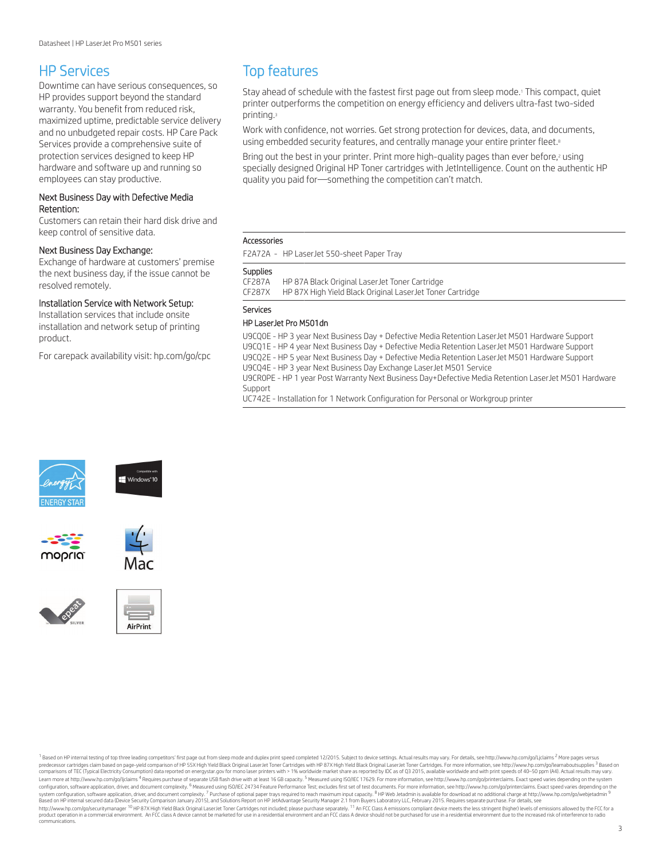### HP Services

Downtime can have serious consequences, so HP provides support beyond the standard warranty. You benefit from reduced risk, maximized uptime, predictable service delivery and no unbudgeted repair costs. HP Care Pack Services provide a comprehensive suite of protection services designed to keep HP hardware and software up and running so employees can stay productive.

#### Next Business Day with Defective Media Retention:

Customers can retain their hard disk drive and keep control of sensitive data.

#### Next Business Day Exchange:

Exchange of hardware at customers' premise the next business day, if the issue cannot be resolved remotely.

#### Installation Service with Network Setup:

Installation services that include onsite installation and network setup of printing product.

For carepack availability visit: [hp.com/go/cpc](http://hp.com/go/cpc)

### Top features

Stay ahead of schedule with the fastest first page out from sleep mode.<sup>1</sup> This compact, quiet printer outperforms the competition on energy efficiency and delivers ultra-fast two-sided printing.<sup>3</sup>

Work with confidence, not worries. Get strong protection for devices, data, and documents, using embedded security features, and centrally manage your entire printer fleet.<sup>8</sup>

Bring out the best in your printer. Print more high-quality pages than ever before,<sup>2</sup> using specially designed Original HP Toner cartridges with JetIntelligence. Count on the authentic HP quality you paid for—something the competition can't match.

#### Accessories

F2A72A - HP LaserJet 550-sheet Paper Tray

#### **Supplies**

CF287A HP 87A Black Original LaserJet Toner Cartridge HP 87X High Yield Black Original LaserJet Toner Cartridge

#### Services

#### HP LaserJet Pro M501dn

U9CQ0E - HP 3 year Next Business Day + Defective Media Retention LaserJet M501 Hardware Support U9CQ1E - HP 4 year Next Business Day + Defective Media Retention LaserJet M501 Hardware Support U9CQ2E - HP 5 year Next Business Day + Defective Media Retention LaserJet M501 Hardware Support U9CQ4E - HP 3 year Next Business Day Exchange LaserJet M501 Service

U9CR0PE - HP 1 year Post Warranty Next Business Day+Defective Media Retention LaserJet M501 Hardware Support

UC742E - Installation for 1 Network Configuration for Personal or Workgroup printer













<sup>1</sup> Based on HP internal testing of top three leading competitors' first page out from sleep mode and duplex print speed completed 12/2015. Subject to device settings. Actual results may vary. For details, see http://www.h predecessor cartridges claim based on page-yield comparison of HP 5[5X High Yield Bla](http://energystar.gov)ck Original Laser Jet Toner Cartridges with HP 87X High Yield Black Original Laser Jet Toner Cartridges with HP 87X High Yield Black Origi comparisons of TEC (Typical Electricity Consumption) data reported on energystar.gov for mono laser printers with > 1% worldwide market share as reported by IDC as of Q3 2015, available worldwide and with print speeds of 4 Learn more at http://www.hp.com/go/liclaims <sup>4</sup> Requires purchase of separate USB flash drive with at least 16 GB capacity. <sup>5</sup> Measured using ISO/IEC 17629. For more information, see http://www.hp.com/go/printerclaims. Ex configuration, software application, driver, and document complexity. <sup>6</sup> Measured using ISO/IEC 24734 Feature Performance Test; excludes first set of test documents. For more information, see http://www.hp.com/go/intercla noduct operation in a commercial environment. An ECC class A device cannot be marketed for use in a residential environment and an ECC class A device should not be purchased for use in a residential environment and an ECC communications.